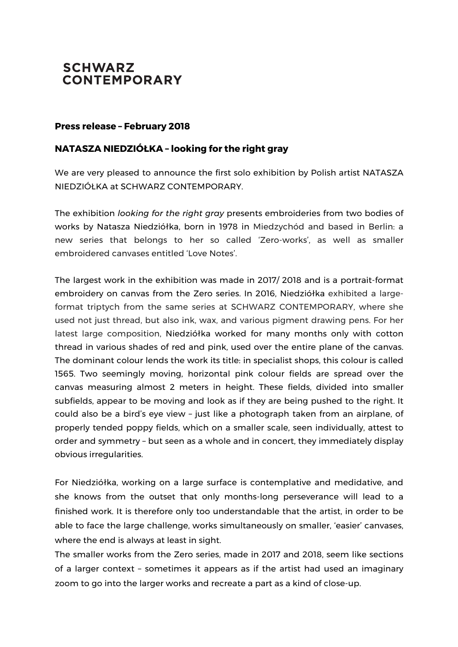## **SCHWARZ CONTEMPORARY**

## **Press release – February 2018**

## **NATASZA NIEDZIÓŁKA – looking for the right gray**

We are very pleased to announce the first solo exhibition by Polish artist NATASZA NIEDZIÓŁKA at SCHWARZ CONTEMPORARY.

The exhibition *looking for the right gray* presents embroideries from two bodies of works by Natasza Niedziółka, born in 1978 in Miedzychód and based in Berlin: a new series that belongs to her so called 'Zero-works', as well as smaller embroidered canvases entitled 'Love Notes'.

The largest work in the exhibition was made in 2017/ 2018 and is a portrait-format embroidery on canvas from the Zero series. In 2016, Niedziółka exhibited a largeformat triptych from the same series at SCHWARZ CONTEMPORARY, where she used not just thread, but also ink, wax, and various pigment drawing pens. For her latest large composition, Niedziółka worked for many months only with cotton thread in various shades of red and pink, used over the entire plane of the canvas. The dominant colour lends the work its title: in specialist shops, this colour is called 1565. Two seemingly moving, horizontal pink colour fields are spread over the canvas measuring almost 2 meters in height. These fields, divided into smaller subfields, appear to be moving and look as if they are being pushed to the right. It could also be a bird's eye view – just like a photograph taken from an airplane, of properly tended poppy fields, which on a smaller scale, seen individually, attest to order and symmetry – but seen as a whole and in concert, they immediately display obvious irregularities.

For Niedziółka, working on a large surface is contemplative and medidative, and she knows from the outset that only months-long perseverance will lead to a finished work. It is therefore only too understandable that the artist, in order to be able to face the large challenge, works simultaneously on smaller, 'easier' canvases, where the end is always at least in sight.

The smaller works from the Zero series, made in 2017 and 2018, seem like sections of a larger context – sometimes it appears as if the artist had used an imaginary zoom to go into the larger works and recreate a part as a kind of close-up.